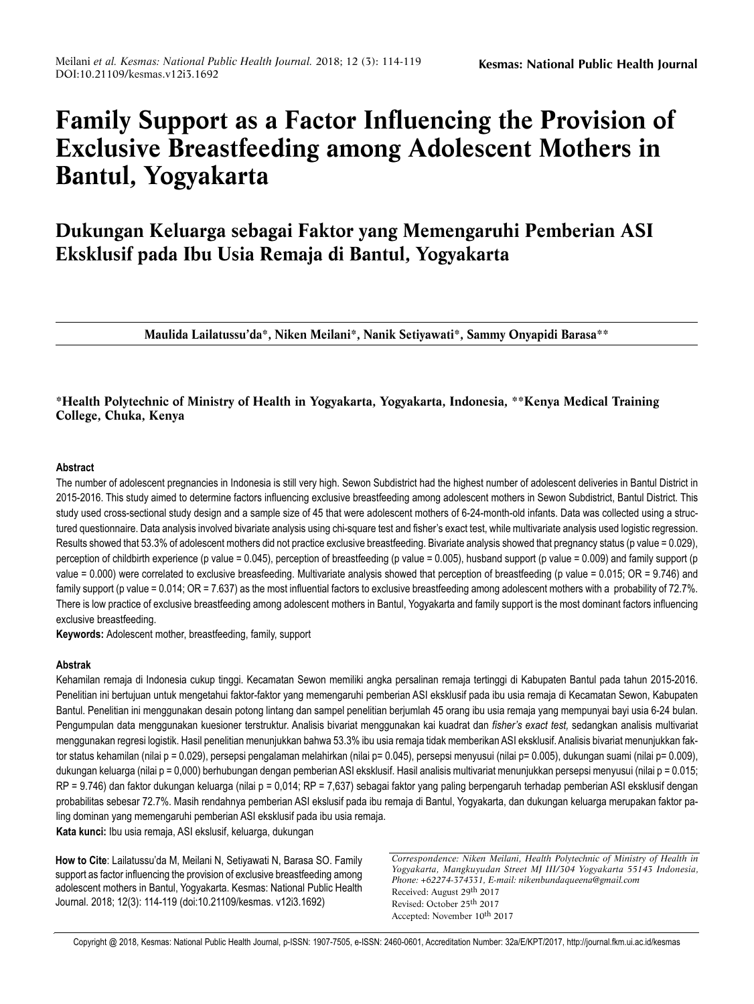# **Family Support as a Factor Influencing the Provision of Exclusive Breastfeeding among Adolescent Mothers in Bantul, Yogyakarta**

**Dukungan Keluarga sebagai Faktor yang Memengaruhi Pemberian ASI Eksklusif pada Ibu Usia Remaja di Bantul, Yogyakarta**

**Maulida Lailatussu'da\*, Niken Meilani\*, Nanik Setiyawati\*, Sammy Onyapidi Barasa\*\***

## **\*Health Polytechnic of Ministry of Health in Yogyakarta, Yogyakarta, Indonesia, \*\*Kenya Medical Training College, Chuka, Kenya**

## **Abstract**

The number of adolescent pregnancies in Indonesia is still very high. Sewon Subdistrict had the highest number of adolescent deliveries in Bantul District in 2015-2016. This study aimed to determine factors influencing exclusive breastfeeding among adolescent mothers in Sewon Subdistrict, Bantul District. This study used cross-sectional study design and a sample size of 45 that were adolescent mothers of 6-24-month-old infants. Data was collected using a structured questionnaire. Data analysis involved bivariate analysis using chi-square test and fisher's exact test, while multivariate analysis used logistic regression. Results showed that 53.3% of adolescent mothers did not practice exclusive breastfeeding. Bivariate analysis showed that pregnancy status (p value = 0.029), perception of childbirth experience (p value = 0.045), perception of breastfeeding (p value = 0.005), husband support (p value = 0.009) and family support (p value = 0.000) were correlated to exclusive breasfeeding. Multivariate analysis showed that perception of breastfeeding (p value = 0.015; OR = 9.746) and family support (p value = 0.014; OR = 7.637) as the most influential factors to exclusive breastfeeding among adolescent mothers with a probability of 72.7%. There is low practice of exclusive breastfeeding among adolescent mothers in Bantul, Yogyakarta and family support is the most dominant factors influencing exclusive breastfeeding.

**Keywords:** Adolescent mother, breastfeeding, family, support

## **Abstrak**

Kehamilan remaja di Indonesia cukup tinggi. Kecamatan Sewon memiliki angka persalinan remaja tertinggi di Kabupaten Bantul pada tahun 2015-2016. Penelitian ini bertujuan untuk mengetahui faktor-faktor yang memengaruhi pemberian ASI eksklusif pada ibu usia remaja di Kecamatan Sewon, Kabupaten Bantul. Penelitian ini menggunakan desain potong lintang dan sampel penelitian berjumlah 45 orang ibu usia remaja yang mempunyai bayi usia 6-24 bulan. Pengumpulan data menggunakan kuesioner terstruktur. Analisis bivariat menggunakan kai kuadrat dan *fisher's exact test,* sedangkan analisis multivariat menggunakan regresi logistik. Hasil penelitian menunjukkan bahwa 53.3% ibu usia remaja tidak memberikan ASI eksklusif. Analisis bivariat menunjukkan faktor status kehamilan (nilai p = 0.029), persepsi pengalaman melahirkan (nilai p= 0.045), persepsi menyusui (nilai p= 0.005), dukungan suami (nilai p= 0.009), dukungan keluarga (nilai p = 0,000) berhubungan dengan pemberian ASI eksklusif. Hasil analisis multivariat menunjukkan persepsi menyusui (nilai p *=* 0.015; RP = 9.746) dan faktor dukungan keluarga (nilai p *=* 0,014; RP = 7,637) sebagai faktor yang paling berpengaruh terhadap pemberian ASI eksklusif dengan probabilitas sebesar 72.7%. Masih rendahnya pemberian ASI ekslusif pada ibu remaja di Bantul, Yogyakarta, dan dukungan keluarga merupakan faktor paling dominan yang memengaruhi pemberian ASI eksklusif pada ibu usia remaja.

**Kata kunci:** Ibu usia remaja, ASI ekslusif, keluarga, dukungan

**How to Cite**: Lailatussu'da M, Meilani N, Setiyawati N, Barasa SO. Family support as factor influencing the provision of exclusive breastfeeding among adolescent mothers in Bantul, Yogyakarta. Kesmas: National Public Health Journal. 2018; 12(3): 114-119 (doi:10.21109/kesmas. v12i3.1692)

*Correspondence: Niken Meilani, Health Polytechnic of Ministry of Health in Yogyakarta, Mangkuyudan Street MJ III/304 Yogyakarta 55143 Indonesia, Phone: +62274-374331, E-mail: nikenbundaqueena@gmail.com* Received: August 29th 2017 Revised: October 25th 2017 Accepted: November 10th 2017

Copyright @ 2018, Kesmas: National Public Health Journal, p-ISSN: 1907-7505, e-ISSN: 2460-0601, Accreditation Number: 32a/E/KPT/2017, http://journal.fkm.ui.ac.id/kesmas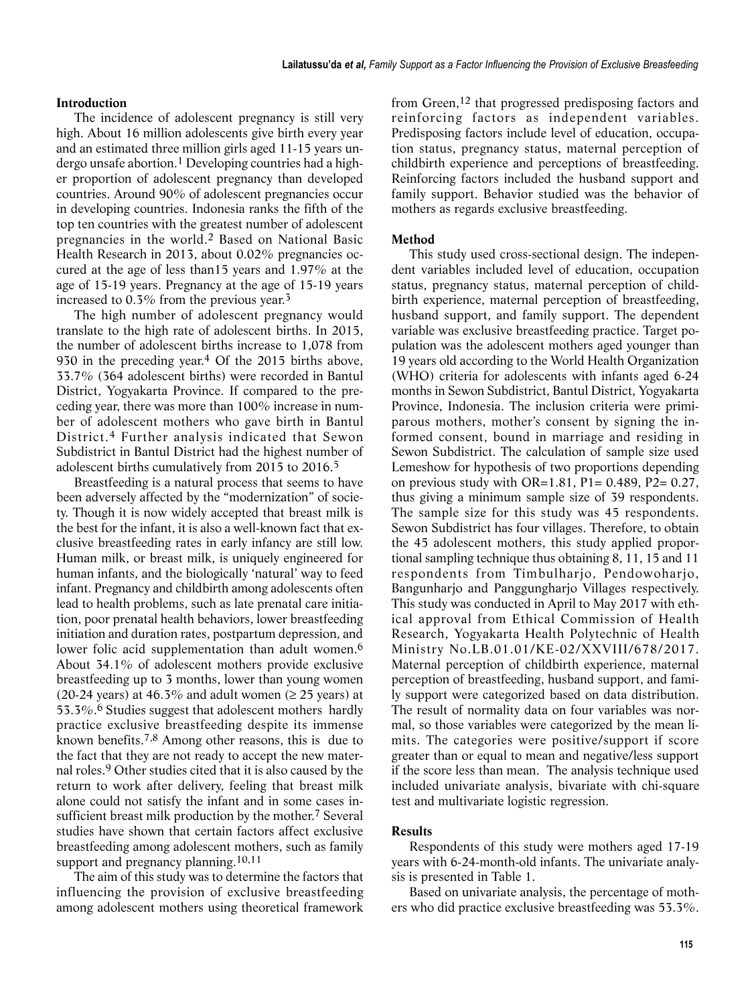## **Introduction**

The incidence of adolescent pregnancy is still very high. About 16 million adolescents give birth every year and an estimated three million girls aged 11-15 years undergo unsafe abortion.<sup>1</sup> Developing countries had a higher proportion of adolescent pregnancy than developed countries. Around 90% of adolescent pregnancies occur in developing countries. Indonesia ranks the fifth of the top ten countries with the greatest number of adolescent pregnancies in the world.2 Based on National Basic Health Research in 2013, about 0.02% pregnancies occured at the age of less than15 years and 1.97% at the age of 15-19 years. Pregnancy at the age of 15-19 years increased to 0.3% from the previous year.3

The high number of adolescent pregnancy would translate to the high rate of adolescent births. In 2015, the number of adolescent births increase to 1,078 from 930 in the preceding year.4 Of the 2015 births above, 33.7% (364 adolescent births) were recorded in Bantul District, Yogyakarta Province. If compared to the preceding year, there was more than 100% increase in number of adolescent mothers who gave birth in Bantul District.4 Further analysis indicated that Sewon Subdistrict in Bantul District had the highest number of adolescent births cumulatively from 2015 to 2016.5

Breastfeeding is a natural process that seems to have been adversely affected by the "modernization" of society. Though it is now widely accepted that breast milk is the best for the infant, it is also a well-known fact that exclusive breastfeeding rates in early infancy are still low. Human milk, or breast milk, is uniquely engineered for human infants, and the biologically 'natural' way to feed infant. Pregnancy and childbirth among adolescents often lead to health problems, such as late prenatal care initiation, poor prenatal health behaviors, lower breastfeeding initiation and duration rates, postpartum depression, and lower folic acid supplementation than adult women.<sup>6</sup> About 34.1% of adolescent mothers provide exclusive breastfeeding up to 3 months, lower than young women (20-24 years) at 46.3% and adult women ( $\geq$  25 years) at 53.3%.6 Studies suggest that adolescent mothers hardly practice exclusive breastfeeding despite its immense known benefits.7,8 Among other reasons, this is due to the fact that they are not ready to accept the new maternal roles.9 Other studies cited that it is also caused by the return to work after delivery, feeling that breast milk alone could not satisfy the infant and in some cases insufficient breast milk production by the mother.7 Several studies have shown that certain factors affect exclusive breastfeeding among adolescent mothers, such as family support and pregnancy planning.<sup>10,11</sup>

The aim of this study was to determine the factors that influencing the provision of exclusive breastfeeding among adolescent mothers using theoretical framework

from Green,12 that progressed predisposing factors and reinforcing factors as independent variables. Predisposing factors include level of education, occupation status, pregnancy status, maternal perception of childbirth experience and perceptions of breastfeeding. Reinforcing factors included the husband support and family support. Behavior studied was the behavior of mothers as regards exclusive breastfeeding.

#### **Method**

This study used cross-sectional design. The independent variables included level of education, occupation status, pregnancy status, maternal perception of childbirth experience, maternal perception of breastfeeding, husband support, and family support. The dependent variable was exclusive breastfeeding practice. Target population was the adolescent mothers aged younger than 19 years old according to the World Health Organization (WHO) criteria for adolescents with infants aged 6-24 months in Sewon Subdistrict, Bantul District, Yogyakarta Province, Indonesia. The inclusion criteria were primiparous mothers, mother's consent by signing the informed consent, bound in marriage and residing in Sewon Subdistrict. The calculation of sample size used Lemeshow for hypothesis of two proportions depending on previous study with  $OR=1.81$ ,  $P1= 0.489$ ,  $P2= 0.27$ , thus giving a minimum sample size of 39 respondents. The sample size for this study was 45 respondents. Sewon Subdistrict has four villages. Therefore, to obtain the 45 adolescent mothers, this study applied proportional sampling technique thus obtaining 8, 11, 15 and 11 respondents from Timbulharjo, Pendowoharjo, Bangunharjo and Panggungharjo Villages respectively. This study was conducted in April to May 2017 with ethical approval from Ethical Commission of Health Research, Yogyakarta Health Polytechnic of Health Ministry No.LB.01.01/KE-02/XXVIII/678/2017. Maternal perception of childbirth experience, maternal perception of breastfeeding, husband support, and family support were categorized based on data distribution. The result of normality data on four variables was normal, so those variables were categorized by the mean limits. The categories were positive/support if score greater than or equal to mean and negative/less support if the score less than mean. The analysis technique used included univariate analysis, bivariate with chi-square test and multivariate logistic regression.

## **Results**

Respondents of this study were mothers aged 17-19 years with 6-24-month-old infants. The univariate analysis is presented in Table 1.

Based on univariate analysis, the percentage of mothers who did practice exclusive breastfeeding was 53.3%.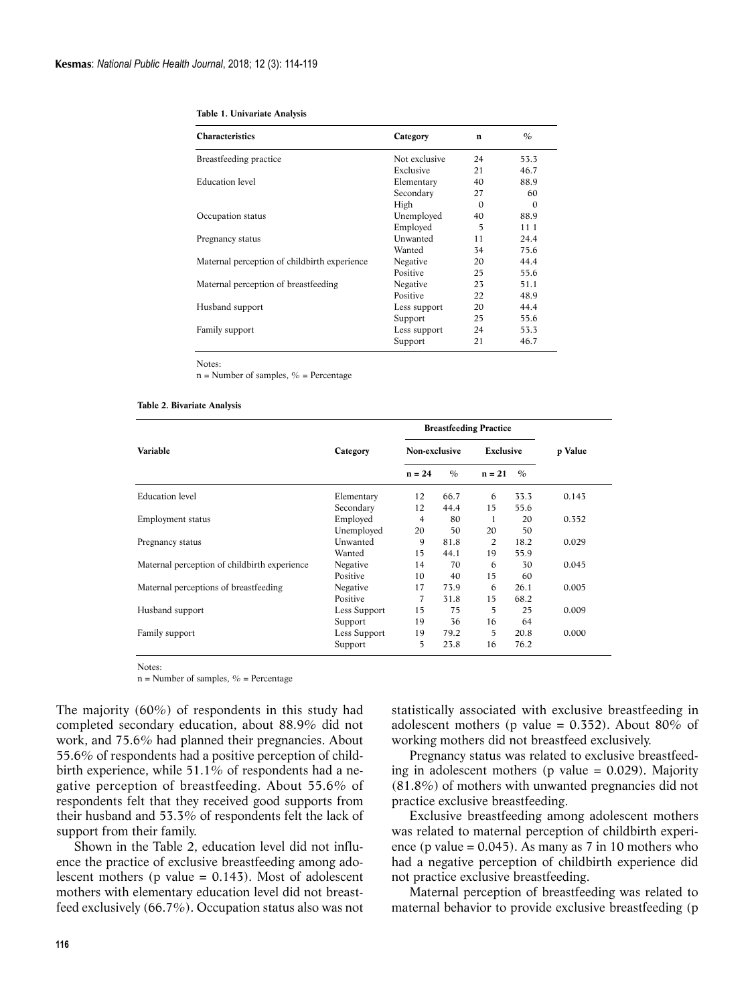| <b>Characteristics</b>                       | Category      | $\mathbf n$ | $\%$     |  |
|----------------------------------------------|---------------|-------------|----------|--|
| Breastfeeding practice                       | Not exclusive | 24          | 53.3     |  |
|                                              | Exclusive     | 21          | 46.7     |  |
| Education level                              | Elementary    | 40          | 88.9     |  |
|                                              | Secondary     | 27          | 60       |  |
|                                              | High          | $\Omega$    | $\Omega$ |  |
| Occupation status                            | Unemployed    | 40          | 88.9     |  |
|                                              | Employed      | 5           | 11 1     |  |
| Pregnancy status                             | Unwanted      | 11          | 24.4     |  |
|                                              | Wanted        | 34          | 75.6     |  |
| Maternal perception of childbirth experience | Negative      | 20          | 44.4     |  |
|                                              | Positive      | 25          | 55.6     |  |
| Maternal perception of breastfeeding         | Negative      | 23          | 51.1     |  |
|                                              | Positive      | 22          | 48.9     |  |
| Husband support                              | Less support  | 20          | 44.4     |  |
|                                              | Support       | 25          | 55.6     |  |
| Family support                               | Less support  | 24          | 53.3     |  |
|                                              | Support       | 21          | 46.7     |  |
|                                              |               |             |          |  |

|  | Table 1. Univariate Analysis |  |
|--|------------------------------|--|
|  |                              |  |

Notes:

 $n =$  Number of samples,  $\%$  = Percentage

| Table 2. Bivariate Analysis |  |
|-----------------------------|--|
|-----------------------------|--|

|                                              |              | <b>Breastfeeding Practice</b> |               |           |               |         |  |
|----------------------------------------------|--------------|-------------------------------|---------------|-----------|---------------|---------|--|
| <b>Variable</b>                              | Category     | Non-exclusive                 |               | Exclusive |               | p Value |  |
|                                              |              | $n = 24$                      | $\frac{O}{O}$ | $n = 21$  | $\frac{1}{2}$ |         |  |
| <b>Education</b> level                       | Elementary   | 12                            | 66.7          | 6         | 33.3          | 0.143   |  |
|                                              | Secondary    | 12                            | 44.4          | 15        | 55.6          |         |  |
| Employment status                            | Employed     | 4                             | 80            | 1         | 20            | 0.352   |  |
|                                              | Unemployed   | 20                            | 50            | 20        | 50            |         |  |
| Pregnancy status                             | Unwanted     | 9                             | 81.8          | 2         | 18.2          | 0.029   |  |
|                                              | Wanted       | 15                            | 44.1          | 19        | 55.9          |         |  |
| Maternal perception of childbirth experience | Negative     | 14                            | 70            | 6         | 30            | 0.045   |  |
|                                              | Positive     | 10                            | 40            | 15        | 60            |         |  |
| Maternal perceptions of breastfeeding        | Negative     | 17                            | 73.9          | 6         | 26.1          | 0.005   |  |
|                                              | Positive     | 7                             | 31.8          | 15        | 68.2          |         |  |
| Husband support                              | Less Support | 15                            | 75            | 5         | 25            | 0.009   |  |
|                                              | Support      | 19                            | 36            | 16        | 64            |         |  |
| Family support                               | Less Support | 19                            | 79.2          | 5         | 20.8          | 0.000   |  |
|                                              | Support      | 5                             | 23.8          | 16        | 76.2          |         |  |

Notes:

 $n =$  Number of samples,  $\%$  = Percentage

The majority (60%) of respondents in this study had completed secondary education, about 88.9% did not work, and 75.6% had planned their pregnancies. About 55.6% of respondents had a positive perception of childbirth experience, while  $51.1\%$  of respondents had a negative perception of breastfeeding. About 55.6% of respondents felt that they received good supports from their husband and 53.3% of respondents felt the lack of support from their family.

Shown in the Table 2, education level did not influence the practice of exclusive breastfeeding among adolescent mothers ( $p$  value = 0.143). Most of adolescent mothers with elementary education level did not breastfeed exclusively (66.7%). Occupation status also was not statistically associated with exclusive breastfeeding in adolescent mothers (p value =  $0.352$ ). About 80% of working mothers did not breastfeed exclusively.

Pregnancy status was related to exclusive breastfeeding in adolescent mothers ( $p$  value = 0.029). Majority (81.8%) of mothers with unwanted pregnancies did not practice exclusive breastfeeding.

Exclusive breastfeeding among adolescent mothers was related to maternal perception of childbirth experience (p value =  $0.045$ ). As many as 7 in 10 mothers who had a negative perception of childbirth experience did not practice exclusive breastfeeding.

Maternal perception of breastfeeding was related to maternal behavior to provide exclusive breastfeeding (p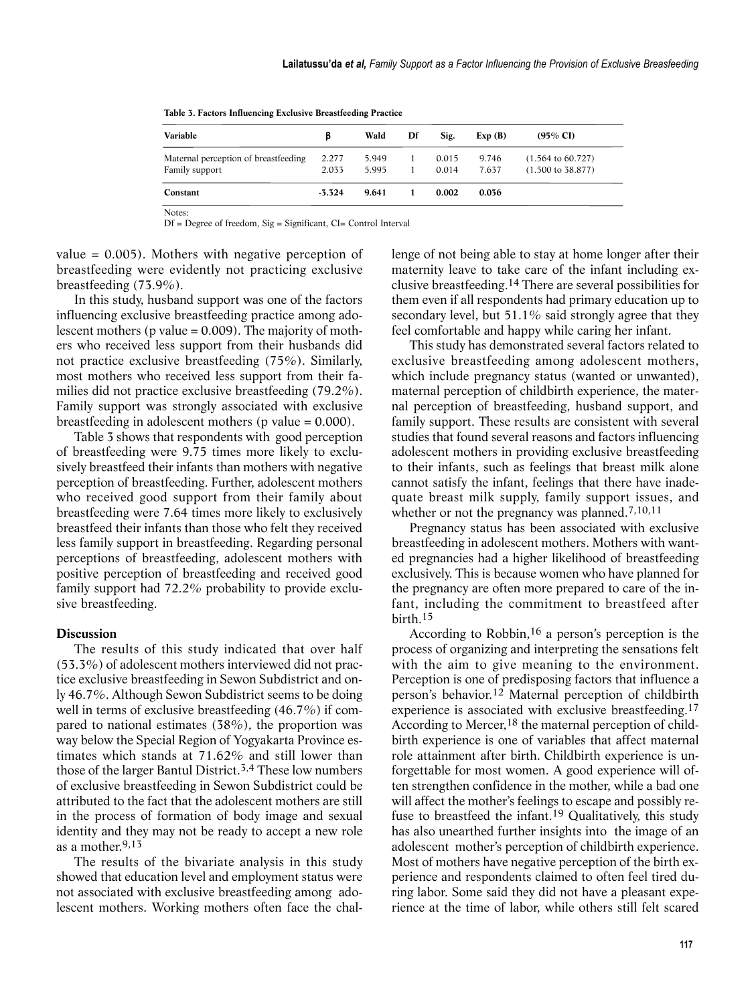| Variable                                               | ß              | Wald           | Df | Sig.           | Exp(B)         | $(95\% \text{ CI})$                                          |
|--------------------------------------------------------|----------------|----------------|----|----------------|----------------|--------------------------------------------------------------|
| Maternal perception of breastfeeding<br>Family support | 2.277<br>2.033 | 5.949<br>5.995 |    | 0.015<br>0.014 | 9.746<br>7.637 | $(1.564 \text{ to } 60.727)$<br>$(1.500 \text{ to } 38.877)$ |
| Constant                                               | $-3.324$       | 9.641          |    | 0.002          | 0.036          |                                                              |

**Table 3. Factors Influencing Exclusive Breastfeeding Practice**

Notes:

Df = Degree of freedom, Sig = Significant, CI= Control Interval

value  $= 0.005$ ). Mothers with negative perception of breastfeeding were evidently not practicing exclusive breastfeeding (73.9%).

In this study, husband support was one of the factors influencing exclusive breastfeeding practice among adolescent mothers ( $p$  value = 0.009). The majority of mothers who received less support from their husbands did not practice exclusive breastfeeding (75%). Similarly, most mothers who received less support from their families did not practice exclusive breastfeeding (79.2%). Family support was strongly associated with exclusive breastfeeding in adolescent mothers ( $p$  value = 0.000).

Table 3 shows that respondents with good perception of breastfeeding were 9.75 times more likely to exclusively breastfeed their infants than mothers with negative perception of breastfeeding. Further, adolescent mothers who received good support from their family about breastfeeding were 7.64 times more likely to exclusively breastfeed their infants than those who felt they received less family support in breastfeeding. Regarding personal perceptions of breastfeeding, adolescent mothers with positive perception of breastfeeding and received good family support had 72.2% probability to provide exclusive breastfeeding.

## **Discussion**

The results of this study indicated that over half (53.3%) of adolescent mothers interviewed did not practice exclusive breastfeeding in Sewon Subdistrict and only 46.7%. Although Sewon Subdistrict seems to be doing well in terms of exclusive breastfeeding (46.7%) if compared to national estimates (38%), the proportion was way below the Special Region of Yogyakarta Province estimates which stands at 71.62% and still lower than those of the larger Bantul District.<sup>3,4</sup> These low numbers of exclusive breastfeeding in Sewon Subdistrict could be attributed to the fact that the adolescent mothers are still in the process of formation of body image and sexual identity and they may not be ready to accept a new role as a mother.9,13

The results of the bivariate analysis in this study showed that education level and employment status were not associated with exclusive breastfeeding among adolescent mothers. Working mothers often face the challenge of not being able to stay at home longer after their maternity leave to take care of the infant including exclusive breastfeeding.14 There are several possibilities for them even if all respondents had primary education up to secondary level, but 51.1% said strongly agree that they feel comfortable and happy while caring her infant.

This study has demonstrated several factors related to exclusive breastfeeding among adolescent mothers, which include pregnancy status (wanted or unwanted), maternal perception of childbirth experience, the maternal perception of breastfeeding, husband support, and family support. These results are consistent with several studies that found several reasons and factors influencing adolescent mothers in providing exclusive breastfeeding to their infants, such as feelings that breast milk alone cannot satisfy the infant, feelings that there have inadequate breast milk supply, family support issues, and whether or not the pregnancy was planned.<sup>7,10,11</sup>

Pregnancy status has been associated with exclusive breastfeeding in adolescent mothers. Mothers with wanted pregnancies had a higher likelihood of breastfeeding exclusively. This is because women who have planned for the pregnancy are often more prepared to care of the infant, including the commitment to breastfeed after birth.15

According to Robbin,16 a person's perception is the process of organizing and interpreting the sensations felt with the aim to give meaning to the environment. Perception is one of predisposing factors that influence a person's behavior.12 Maternal perception of childbirth experience is associated with exclusive breastfeeding.17 According to Mercer,<sup>18</sup> the maternal perception of childbirth experience is one of variables that affect maternal role attainment after birth. Childbirth experience is unforgettable for most women. A good experience will often strengthen confidence in the mother, while a bad one will affect the mother's feelings to escape and possibly refuse to breastfeed the infant.19 Qualitatively, this study has also unearthed further insights into the image of an adolescent mother's perception of childbirth experience. Most of mothers have negative perception of the birth experience and respondents claimed to often feel tired during labor. Some said they did not have a pleasant experience at the time of labor, while others still felt scared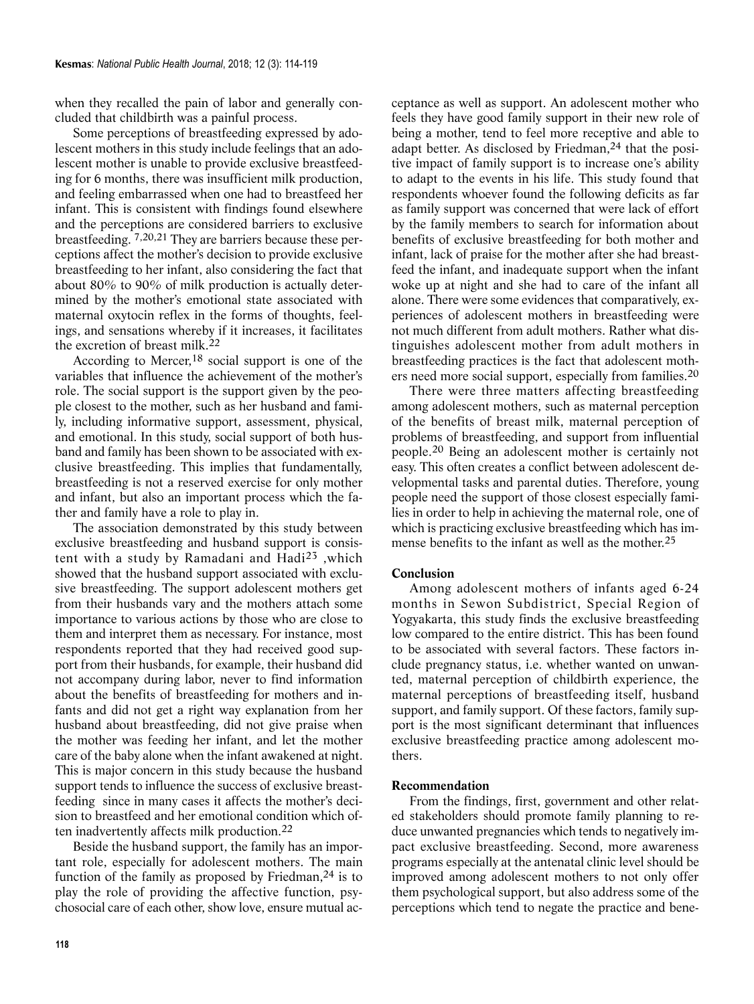when they recalled the pain of labor and generally concluded that childbirth was a painful process.

Some perceptions of breastfeeding expressed by adolescent mothers in this study include feelings that an adolescent mother is unable to provide exclusive breastfeeding for 6 months, there was insufficient milk production, and feeling embarrassed when one had to breastfeed her infant. This is consistent with findings found elsewhere and the perceptions are considered barriers to exclusive breastfeeding. 7,20,21 They are barriers because these perceptions affect the mother's decision to provide exclusive breastfeeding to her infant, also considering the fact that about 80% to 90% of milk production is actually determined by the mother's emotional state associated with maternal oxytocin reflex in the forms of thoughts, feelings, and sensations whereby if it increases, it facilitates the excretion of breast milk.22

According to Mercer,18 social support is one of the variables that influence the achievement of the mother's role. The social support is the support given by the people closest to the mother, such as her husband and family, including informative support, assessment, physical, and emotional. In this study, social support of both husband and family has been shown to be associated with exclusive breastfeeding. This implies that fundamentally, breastfeeding is not a reserved exercise for only mother and infant, but also an important process which the father and family have a role to play in.

The association demonstrated by this study between exclusive breastfeeding and husband support is consistent with a study by Ramadani and Hadi23 ,which showed that the husband support associated with exclusive breastfeeding. The support adolescent mothers get from their husbands vary and the mothers attach some importance to various actions by those who are close to them and interpret them as necessary. For instance, most respondents reported that they had received good support from their husbands, for example, their husband did not accompany during labor, never to find information about the benefits of breastfeeding for mothers and infants and did not get a right way explanation from her husband about breastfeeding, did not give praise when the mother was feeding her infant, and let the mother care of the baby alone when the infant awakened at night. This is major concern in this study because the husband support tends to influence the success of exclusive breastfeeding since in many cases it affects the mother's decision to breastfeed and her emotional condition which often inadvertently affects milk production.22

Beside the husband support, the family has an important role, especially for adolescent mothers. The main function of the family as proposed by Friedman,  $24$  is to play the role of providing the affective function, psychosocial care of each other, show love, ensure mutual acceptance as well as support. An adolescent mother who feels they have good family support in their new role of being a mother, tend to feel more receptive and able to adapt better. As disclosed by Friedman,<sup>24</sup> that the positive impact of family support is to increase one's ability to adapt to the events in his life. This study found that respondents whoever found the following deficits as far as family support was concerned that were lack of effort by the family members to search for information about benefits of exclusive breastfeeding for both mother and infant, lack of praise for the mother after she had breastfeed the infant, and inadequate support when the infant woke up at night and she had to care of the infant all alone. There were some evidences that comparatively, experiences of adolescent mothers in breastfeeding were not much different from adult mothers. Rather what distinguishes adolescent mother from adult mothers in breastfeeding practices is the fact that adolescent mothers need more social support, especially from families.20

There were three matters affecting breastfeeding among adolescent mothers, such as maternal perception of the benefits of breast milk, maternal perception of problems of breastfeeding, and support from influential people.20 Being an adolescent mother is certainly not easy. This often creates a conflict between adolescent developmental tasks and parental duties. Therefore, young people need the support of those closest especially families in order to help in achieving the maternal role, one of which is practicing exclusive breastfeeding which has immense benefits to the infant as well as the mother.25

### **Conclusion**

Among adolescent mothers of infants aged 6-24 months in Sewon Subdistrict, Special Region of Yogyakarta, this study finds the exclusive breastfeeding low compared to the entire district. This has been found to be associated with several factors. These factors include pregnancy status, i.e. whether wanted on unwanted, maternal perception of childbirth experience, the maternal perceptions of breastfeeding itself, husband support, and family support. Of these factors, family support is the most significant determinant that influences exclusive breastfeeding practice among adolescent mothers.

### **Recommendation**

From the findings, first, government and other related stakeholders should promote family planning to reduce unwanted pregnancies which tends to negatively impact exclusive breastfeeding. Second, more awareness programs especially at the antenatal clinic level should be improved among adolescent mothers to not only offer them psychological support, but also address some of the perceptions which tend to negate the practice and bene